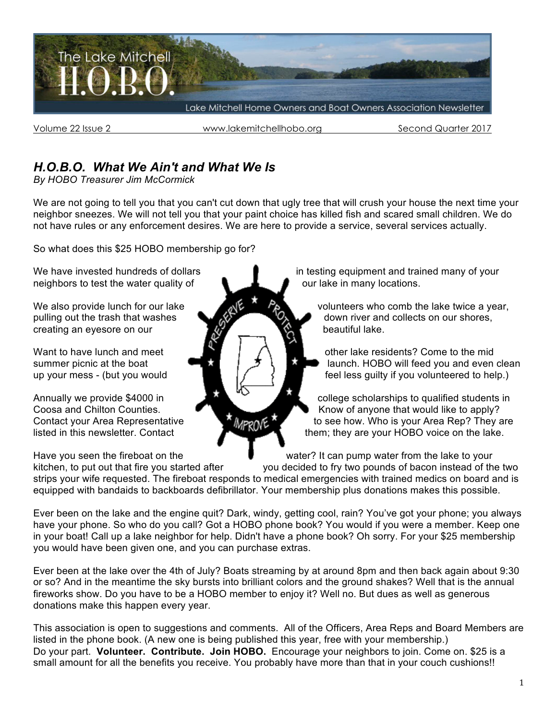

Volume 22 Issue 2 **WIGHT WIGHT WAS A WAREF** www.lakemitchellhobo.org Second Quarter 2017

# *H.O.B.O. What We Ain't and What We Is*

*By HOBO Treasurer Jim McCormick*

We are not going to tell you that you can't cut down that ugly tree that will crush your house the next time your neighbor sneezes. We will not tell you that your paint choice has killed fish and scared small children. We do not have rules or any enforcement desires. We are here to provide a service, several services actually.

So what does this \$25 HOBO membership go for?

neighbors to test the water quality of  $\blacksquare$   $\blacksquare$  our lake in many locations.

creating an eyesore on our beautiful lake.

We have invested hundreds of dollars **in testing equipment and trained many of your** 

We also provide lunch for our lake volunteers who comb the lake twice a year, pulling out the trash that washes  $\mathcal{O}_k$  down river and collects on our shores,

Want to have lunch and meet  $\blacksquare$   $\blacksquare$   $\blacksquare$  other lake residents? Come to the mid summer picnic at the boat  $\bullet$   $\bullet$   $\bullet$   $\bullet$  launch. HOBO will feed you and even clean up your mess - (but you would  $\|\cdot\|$   $\|\cdot\|$   $\|\cdot\|$  feel less guilty if you volunteered to help.)

Annually we provide \$4000 in **college scholarships to qualified students in** college scholarships to qualified students in Coosa and Chilton Counties. **Kill and Chilton Counties.** Know of anyone that would like to apply? Contact your Area Representative **the subsetion of the see how.** Who is your Area Rep? They are listed in this newsletter. Contact them; they are your HOBO voice on the lake.

Have you seen the fireboat on the state of the water? It can pump water from the lake to your

kitchen, to put out that fire you started after you decided to fry two pounds of bacon instead of the two strips your wife requested. The fireboat responds to medical emergencies with trained medics on board and is equipped with bandaids to backboards defibrillator. Your membership plus donations makes this possible.

Ever been on the lake and the engine quit? Dark, windy, getting cool, rain? You've got your phone; you always have your phone. So who do you call? Got a HOBO phone book? You would if you were a member. Keep one in your boat! Call up a lake neighbor for help. Didn't have a phone book? Oh sorry. For your \$25 membership you would have been given one, and you can purchase extras.

Ever been at the lake over the 4th of July? Boats streaming by at around 8pm and then back again about 9:30 or so? And in the meantime the sky bursts into brilliant colors and the ground shakes? Well that is the annual fireworks show. Do you have to be a HOBO member to enjoy it? Well no. But dues as well as generous donations make this happen every year.

This association is open to suggestions and comments. All of the Officers, Area Reps and Board Members are listed in the phone book. (A new one is being published this year, free with your membership.) Do your part. **Volunteer. Contribute. Join HOBO.** Encourage your neighbors to join. Come on. \$25 is a small amount for all the benefits you receive. You probably have more than that in your couch cushions!!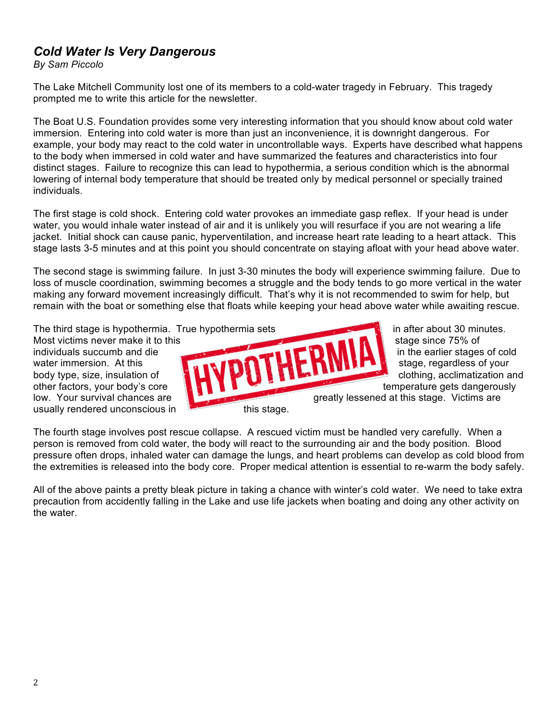## *Cold Water Is Very Dangerous*

*By Sam Piccolo*

The Lake Mitchell Community lost one of its members to a cold-water tragedy in February. This tragedy prompted me to write this article for the newsletter.

The Boat U.S. Foundation provides some very interesting information that you should know about cold water immersion. Entering into cold water is more than just an inconvenience, it is downright dangerous. For example, your body may react to the cold water in uncontrollable ways. Experts have described what happens to the body when immersed in cold water and have summarized the features and characteristics into four distinct stages. Failure to recognize this can lead to hypothermia, a serious condition which is the abnormal lowering of internal body temperature that should be treated only by medical personnel or specially trained individuals.

The first stage is cold shock. Entering cold water provokes an immediate gasp reflex. If your head is under water, you would inhale water instead of air and it is unlikely you will resurface if you are not wearing a life jacket. Initial shock can cause panic, hyperventilation, and increase heart rate leading to a heart attack. This stage lasts 3-5 minutes and at this point you should concentrate on staying afloat with your head above water.

The second stage is swimming failure. In just 3-30 minutes the body will experience swimming failure. Due to loss of muscle coordination, swimming becomes a struggle and the body tends to go more vertical in the water making any forward movement increasingly difficult. That's why it is not recommended to swim for help, but remain with the boat or something else that floats while keeping your head above water while awaiting rescue.

The third stage is hypothermia. True hypothermia sets in after about 30 minutes.

usually rendered unconscious in this stage.



The fourth stage involves post rescue collapse. A rescued victim must be handled very carefully. When a person is removed from cold water, the body will react to the surrounding air and the body position. Blood pressure often drops, inhaled water can damage the lungs, and heart problems can develop as cold blood from the extremities is released into the body core. Proper medical attention is essential to re-warm the body safely.

All of the above paints a pretty bleak picture in taking a chance with winter's cold water. We need to take extra precaution from accidently falling in the Lake and use life jackets when boating and doing any other activity on the water.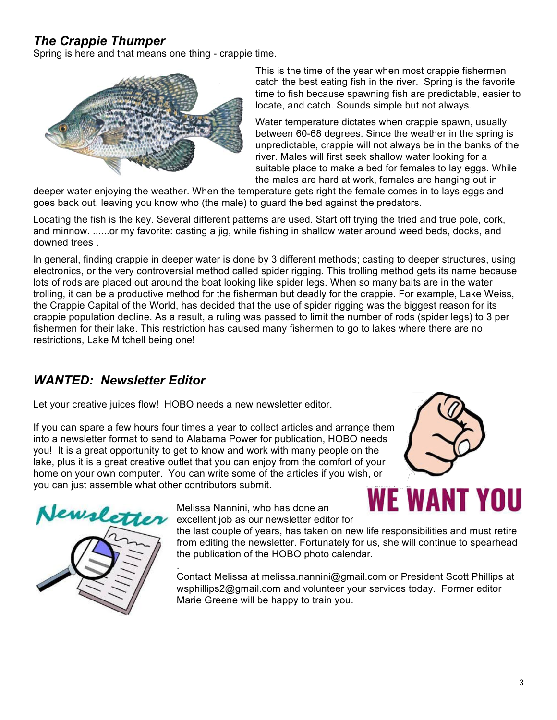# *The Crappie Thumper*

Spring is here and that means one thing - crappie time.



This is the time of the year when most crappie fishermen catch the best eating fish in the river. Spring is the favorite time to fish because spawning fish are predictable, easier to locate, and catch. Sounds simple but not always.

Water temperature dictates when crappie spawn, usually between 60-68 degrees. Since the weather in the spring is unpredictable, crappie will not always be in the banks of the river. Males will first seek shallow water looking for a suitable place to make a bed for females to lay eggs. While the males are hard at work, females are hanging out in

deeper water enjoying the weather. When the temperature gets right the female comes in to lays eggs and goes back out, leaving you know who (the male) to guard the bed against the predators.

Locating the fish is the key. Several different patterns are used. Start off trying the tried and true pole, cork, and minnow. ......or my favorite: casting a jig, while fishing in shallow water around weed beds, docks, and downed trees .

In general, finding crappie in deeper water is done by 3 different methods; casting to deeper structures, using electronics, or the very controversial method called spider rigging. This trolling method gets its name because lots of rods are placed out around the boat looking like spider legs. When so many baits are in the water trolling, it can be a productive method for the fisherman but deadly for the crappie. For example, Lake Weiss, the Crappie Capital of the World, has decided that the use of spider rigging was the biggest reason for its crappie population decline. As a result, a ruling was passed to limit the number of rods (spider legs) to 3 per fishermen for their lake. This restriction has caused many fishermen to go to lakes where there are no restrictions, Lake Mitchell being one!

# *WANTED: Newsletter Editor*

Let your creative juices flow! HOBO needs a new newsletter editor.

If you can spare a few hours four times a year to collect articles and arrange them into a newsletter format to send to Alabama Power for publication, HOBO needs you! It is a great opportunity to get to know and work with many people on the lake, plus it is a great creative outlet that you can enjoy from the comfort of your home on your own computer. You can write some of the articles if you wish, or you can just assemble what other contributors submit.





Melissa Nannini, who has done an excellent job as our newsletter editor for

the last couple of years, has taken on new life responsibilities and must retire from editing the newsletter. Fortunately for us, she will continue to spearhead the publication of the HOBO photo calendar.

. Contact Melissa at melissa.nannini@gmail.com or President Scott Phillips at wsphillips2@gmail.com and volunteer your services today. Former editor Marie Greene will be happy to train you.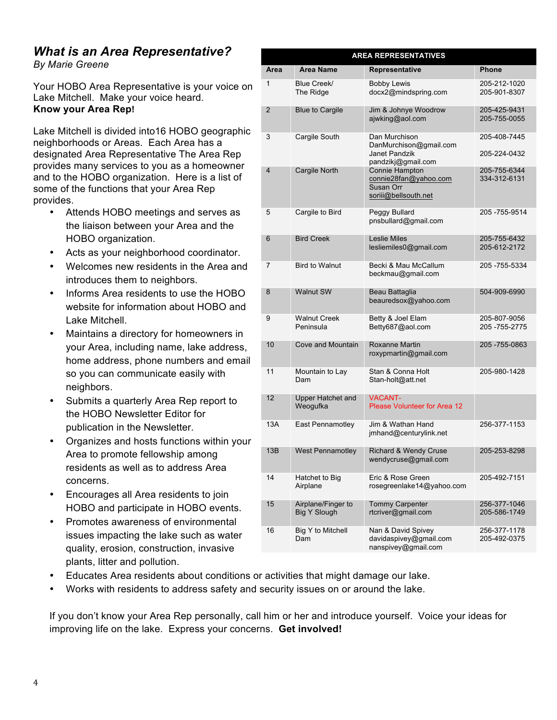# *What is an Area Representative?*

*By Marie Greene*

Your HOBO Area Representative is your voice on Lake Mitchell. Make your voice heard. **Know your Area Rep!**

Lake Mitchell is divided into16 HOBO geographic neighborhoods or Areas. Each Area has a designated Area Representative The Area Rep provides many services to you as a homeowner and to the HOBO organization. Here is a list of some of the functions that your Area Rep provides.

- Attends HOBO meetings and serves as the liaison between your Area and the HOBO organization.
- Acts as your neighborhood coordinator.
- Welcomes new residents in the Area and introduces them to neighbors.
- Informs Area residents to use the HOBO website for information about HOBO and Lake Mitchell.
- Maintains a directory for homeowners in your Area, including name, lake address, home address, phone numbers and email so you can communicate easily with neighbors.
- Submits a quarterly Area Rep report to the HOBO Newsletter Editor for publication in the Newsletter.
- Organizes and hosts functions within your Area to promote fellowship among residents as well as to address Area concerns.
- Encourages all Area residents to join HOBO and participate in HOBO events.
- Promotes awareness of environmental issues impacting the lake such as water quality, erosion, construction, invasive plants, litter and pollution.

| <b>AREA REPRESENTATIVES</b> |                |                                           |                                                                                |                                  |  |  |  |  |  |
|-----------------------------|----------------|-------------------------------------------|--------------------------------------------------------------------------------|----------------------------------|--|--|--|--|--|
|                             | Area           | <b>Area Name</b>                          | <b>Representative</b>                                                          | Phone                            |  |  |  |  |  |
|                             | 1              | Blue Creek/<br>The Ridge                  | <b>Bobby Lewis</b><br>docx2@mindspring.com                                     | 205-212-1020<br>205-901-8307     |  |  |  |  |  |
|                             | $\overline{2}$ | <b>Blue to Cargile</b>                    | Jim & Johnye Woodrow<br>ajwking@aol.com                                        | 205-425-9431<br>205-755-0055     |  |  |  |  |  |
|                             | 3              | Cargile South                             | Dan Murchison<br>DanMurchison@gmail.com<br>Janet Pandzik<br>pandzikj@gmail.com | 205-408-7445<br>205-224-0432     |  |  |  |  |  |
|                             | 4              | Cargile North                             | Connie Hampton<br>connie28fan@yahoo.com<br>Susan Orr<br>soriii@bellsouth.net   | 205-755-6344<br>334-312-6131     |  |  |  |  |  |
|                             | 5              | Cargile to Bird                           | Peggy Bullard<br>pnsbullard@gmail.com                                          | 205 - 755 - 9514                 |  |  |  |  |  |
|                             | 6              | <b>Bird Creek</b>                         | <b>Leslie Miles</b><br>lesliemiles0@gmail.com                                  | 205-755-6432<br>205-612-2172     |  |  |  |  |  |
|                             | 7              | <b>Bird to Walnut</b>                     | Becki & Mau McCallum<br>beckmau@gmail.com                                      | 205 - 755 - 5334                 |  |  |  |  |  |
|                             | 8              | Walnut SW                                 | Beau Battaglia<br>beauredsox@yahoo.com                                         | 504-909-6990                     |  |  |  |  |  |
|                             | 9              | <b>Walnut Creek</b><br>Peninsula          | Betty & Joel Elam<br>Betty687@aol.com                                          | 205-807-9056<br>205 - 755 - 2775 |  |  |  |  |  |
|                             | 10             | Cove and Mountain                         | Roxanne Martin<br>roxypmartin@gmail.com                                        | 205 - 755 - 0863                 |  |  |  |  |  |
|                             | 11             | Mountain to Lay<br>Dam                    | Stan & Conna Holt<br>Stan-holt@att.net                                         | 205-980-1428                     |  |  |  |  |  |
|                             | 12             | <b>Upper Hatchet and</b><br>Weogufka      | <b>VACANT-</b><br><b>Please Volunteer for Area 12</b>                          |                                  |  |  |  |  |  |
|                             | 13A            | East Pennamotley                          | Jim & Wathan Hand<br>jmhand@centurylink.net                                    | 256-377-1153                     |  |  |  |  |  |
|                             | 13B            | <b>West Pennamotley</b>                   | <b>Richard &amp; Wendy Cruse</b><br>wendycruse@gmail.com                       | 205-253-8298                     |  |  |  |  |  |
|                             | 14             | Hatchet to Big<br>Airplane                | Eric & Rose Green<br>rosegreenlake14@yahoo.com                                 | 205-492-7151                     |  |  |  |  |  |
|                             | 15             | Airplane/Finger to<br><b>Big Y Slough</b> | <b>Tommy Carpenter</b><br>rtcriver@gmail.com                                   | 256-377-1046<br>205-586-1749     |  |  |  |  |  |
|                             | 16             | Big Y to Mitchell<br>Dam                  | Nan & David Spivey<br>davidaspivey@gmail.com<br>nanspivey@gmail.com            | 256-377-1178<br>205-492-0375     |  |  |  |  |  |

- Educates Area residents about conditions or activities that might damage our lake.
- Works with residents to address safety and security issues on or around the lake.

If you don't know your Area Rep personally, call him or her and introduce yourself. Voice your ideas for improving life on the lake. Express your concerns. **Get involved!**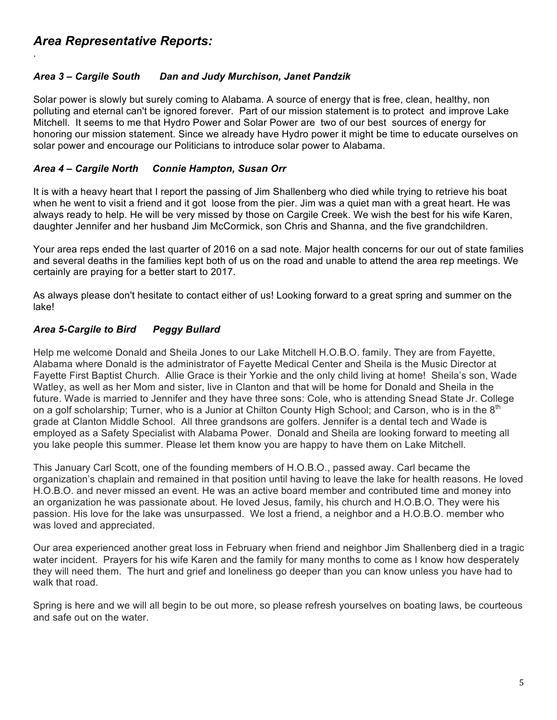.

### *Area 3 – Cargile South Dan and Judy Murchison, Janet Pandzik*

Solar power is slowly but surely coming to Alabama. A source of energy that is free, clean, healthy, non polluting and eternal can't be ignored forever. Part of our mission statement is to protect and improve Lake Mitchell. It seems to me that Hydro Power and Solar Power are two of our best sources of energy for honoring our mission statement. Since we already have Hydro power it might be time to educate ourselves on solar power and encourage our Politicians to introduce solar power to Alabama.

#### *Area 4 – Cargile North Connie Hampton, Susan Orr*

It is with a heavy heart that I report the passing of Jim Shallenberg who died while trying to retrieve his boat when he went to visit a friend and it got loose from the pier. Jim was a quiet man with a great heart. He was always ready to help. He will be very missed by those on Cargile Creek. We wish the best for his wife Karen, daughter Jennifer and her husband Jim McCormick, son Chris and Shanna, and the five grandchildren.

Your area reps ended the last quarter of 2016 on a sad note. Major health concerns for our out of state families and several deaths in the families kept both of us on the road and unable to attend the area rep meetings. We certainly are praying for a better start to 2017.

As always please don't hesitate to contact either of us! Looking forward to a great spring and summer on the lake!

### *Area 5-Cargile to Bird Peggy Bullard*

Help me welcome Donald and Sheila Jones to our Lake Mitchell H.O.B.O. family. They are from Fayette, Alabama where Donald is the administrator of Fayette Medical Center and Sheila is the Music Director at Fayette First Baptist Church. Allie Grace is their Yorkie and the only child living at home! Sheila's son, Wade Watley, as well as her Mom and sister, live in Clanton and that will be home for Donald and Sheila in the future. Wade is married to Jennifer and they have three sons: Cole, who is attending Snead State Jr. College on a golf scholarship; Turner, who is a Junior at Chilton County High School; and Carson, who is in the  $8<sup>th</sup>$ grade at Clanton Middle School. All three grandsons are golfers. Jennifer is a dental tech and Wade is employed as a Safety Specialist with Alabama Power. Donald and Sheila are looking forward to meeting all you lake people this summer. Please let them know you are happy to have them on Lake Mitchell.

This January Carl Scott, one of the founding members of H.O.B.O., passed away. Carl became the organization's chaplain and remained in that position until having to leave the lake for health reasons. He loved H.O.B.O. and never missed an event. He was an active board member and contributed time and money into an organization he was passionate about. He loved Jesus, family, his church and H.O.B.O. They were his passion. His love for the lake was unsurpassed. We lost a friend, a neighbor and a H.O.B.O. member who was loved and appreciated.

Our area experienced another great loss in February when friend and neighbor Jim Shallenberg died in a tragic water incident. Prayers for his wife Karen and the family for many months to come as I know how desperately they will need them. The hurt and grief and loneliness go deeper than you can know unless you have had to walk that road.

Spring is here and we will all begin to be out more, so please refresh yourselves on boating laws, be courteous and safe out on the water.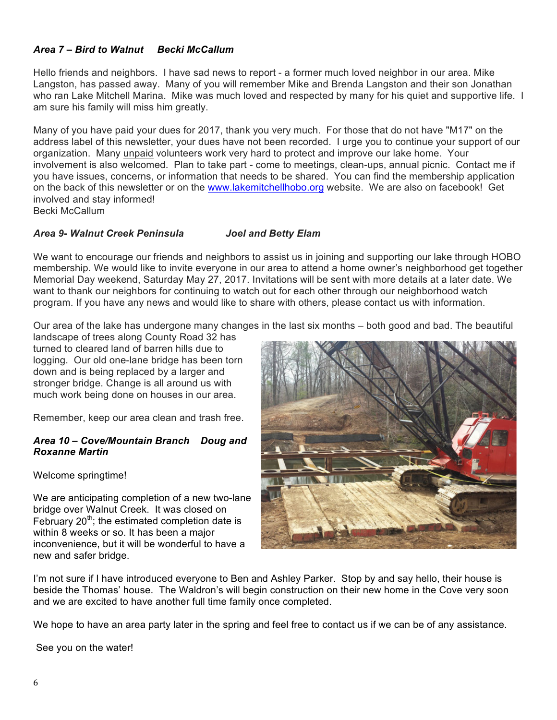#### *Area 7 – Bird to Walnut Becki McCallum*

Hello friends and neighbors. I have sad news to report - a former much loved neighbor in our area. Mike Langston, has passed away. Many of you will remember Mike and Brenda Langston and their son Jonathan who ran Lake Mitchell Marina. Mike was much loved and respected by many for his quiet and supportive life. I am sure his family will miss him greatly.

Many of you have paid your dues for 2017, thank you very much. For those that do not have "M17" on the address label of this newsletter, your dues have not been recorded. I urge you to continue your support of our organization. Many unpaid volunteers work very hard to protect and improve our lake home. Your involvement is also welcomed. Plan to take part - come to meetings, clean-ups, annual picnic. Contact me if you have issues, concerns, or information that needs to be shared. You can find the membership application on the back of this newsletter or on the www.lakemitchellhobo.org website. We are also on facebook! Get involved and stay informed!

Becki McCallum

#### *Area 9- Walnut Creek Peninsula Joel and Betty Elam*

We want to encourage our friends and neighbors to assist us in joining and supporting our lake through HOBO membership. We would like to invite everyone in our area to attend a home owner's neighborhood get together Memorial Day weekend, Saturday May 27, 2017. Invitations will be sent with more details at a later date. We want to thank our neighbors for continuing to watch out for each other through our neighborhood watch program. If you have any news and would like to share with others, please contact us with information.

Our area of the lake has undergone many changes in the last six months – both good and bad. The beautiful

landscape of trees along County Road 32 has turned to cleared land of barren hills due to logging. Our old one-lane bridge has been torn down and is being replaced by a larger and stronger bridge. Change is all around us with much work being done on houses in our area.

Remember, keep our area clean and trash free.

#### *Area 10 – Cove/Mountain Branch Doug and Roxanne Martin*

Welcome springtime!

We are anticipating completion of a new two-lane bridge over Walnut Creek. It was closed on February 20<sup>th</sup>; the estimated completion date is within 8 weeks or so. It has been a major inconvenience, but it will be wonderful to have a new and safer bridge.



I'm not sure if I have introduced everyone to Ben and Ashley Parker. Stop by and say hello, their house is beside the Thomas' house. The Waldron's will begin construction on their new home in the Cove very soon and we are excited to have another full time family once completed.

We hope to have an area party later in the spring and feel free to contact us if we can be of any assistance.

See you on the water!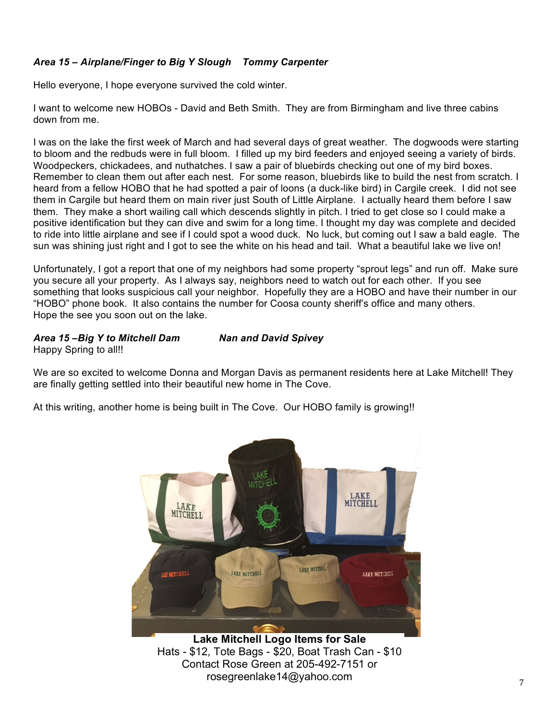### *Area 15 – Airplane/Finger to Big Y Slough Tommy Carpenter*

Hello everyone, I hope everyone survived the cold winter.

I want to welcome new HOBOs - David and Beth Smith. They are from Birmingham and live three cabins down from me.

I was on the lake the first week of March and had several days of great weather. The dogwoods were starting to bloom and the redbuds were in full bloom. I filled up my bird feeders and enjoyed seeing a variety of birds. Woodpeckers, chickadees, and nuthatches. I saw a pair of bluebirds checking out one of my bird boxes. Remember to clean them out after each nest. For some reason, bluebirds like to build the nest from scratch. I heard from a fellow HOBO that he had spotted a pair of loons (a duck-like bird) in Cargile creek. I did not see them in Cargile but heard them on main river just South of Little Airplane. I actually heard them before I saw them. They make a short wailing call which descends slightly in pitch. I tried to get close so I could make a positive identification but they can dive and swim for a long time. I thought my day was complete and decided to ride into little airplane and see if I could spot a wood duck. No luck, but coming out I saw a bald eagle. The sun was shining just right and I got to see the white on his head and tail. What a beautiful lake we live on!

Unfortunately, I got a report that one of my neighbors had some property "sprout legs" and run off. Make sure you secure all your property. As I always say, neighbors need to watch out for each other. If you see something that looks suspicious call your neighbor. Hopefully they are a HOBO and have their number in our "HOBO" phone book. It also contains the number for Coosa county sheriff's office and many others. Hope the see you soon out on the lake.

### *Area 15 –Big Y to Mitchell Dam Nan and David Spivey*

Happy Spring to all!!

We are so excited to welcome Donna and Morgan Davis as permanent residents here at Lake Mitchell! They are finally getting settled into their beautiful new home in The Cove.

At this writing, another home is being built in The Cove. Our HOBO family is growing!!



**Lake Mitchell Logo Items for Sale** Hats - \$12, Tote Bags - \$20, Boat Trash Can - \$10 Contact Rose Green at 205-492-7151 or rosegreenlake14@yahoo.com